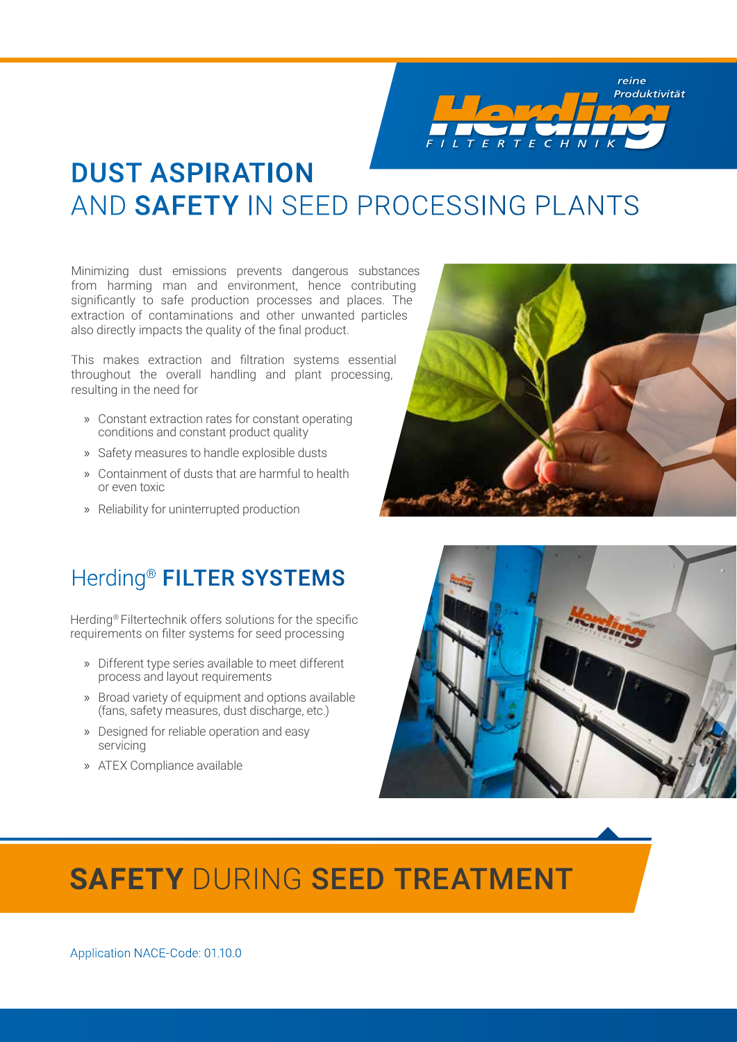$\mathcal{F}$  $\epsilon$  $H N$ F

## DUST ASPIRATION AND SAFETY IN SEED PROCESSING PLANTS

Minimizing dust emissions prevents dangerous substances from harming man and environment, hence contributing significantly to safe production processes and places. The extraction of contaminations and other unwanted particles also directly impacts the quality of the final product.

This makes extraction and filtration systems essential throughout the overall handling and plant processing, resulting in the need for

- » Constant extraction rates for constant operating conditions and constant product quality
- » Safety measures to handle explosible dusts
- » Containment of dusts that are harmful to health or even toxic
- » Reliability for uninterrupted production

reine Produktivität

## Herding<sup>®</sup> FILTER SYSTEMS

Herding® Filtertechnik offers solutions for the specific requirements on filter systems for seed processing

- » Different type series available to meet different process and layout requirements
- » Broad variety of equipment and options available (fans, safety measures, dust discharge, etc.)
- » Designed for reliable operation and easy servicing
- » ATEX Compliance available



# **SAFETY** DURING SEED TREATMENT

Application NACE-Code: 01.10.0